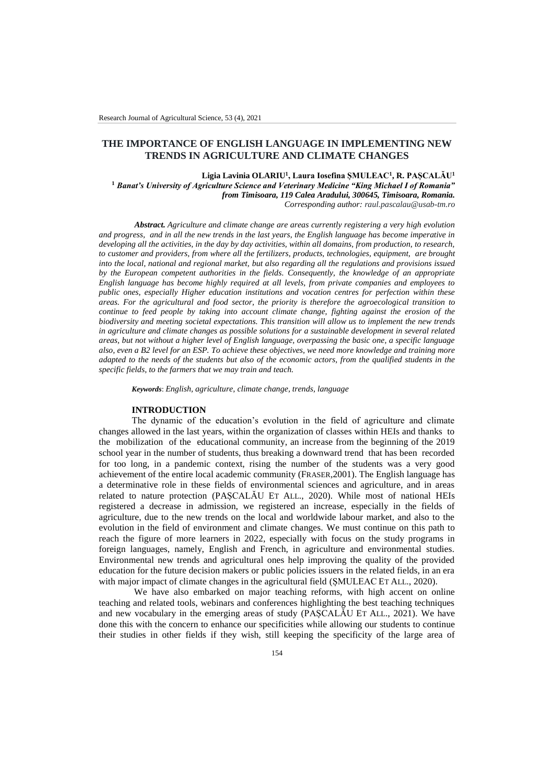# **THE IMPORTANCE OF ENGLISH LANGUAGE IN IMPLEMENTING NEW TRENDS IN AGRICULTURE AND CLIMATE CHANGES**

**Ligia Lavinia OLARIU<sup>1</sup> , Laura Iosefina ȘMULEAC<sup>1</sup> , R. PAȘCALĂU<sup>1</sup> <sup>1</sup>** *Banat's University of Agriculture Science and Veterinary Medicine "King Michael I of Romania" from Timisoara, 119 Calea Aradului, 300645, Timisoara, Romania.*

*Corresponding author: raul.pascalau@usab-tm.ro*

*Abstract. Agriculture and climate change are areas currently registering a very high evolution and progress, and in all the new trends in the last years, the English language has become imperative in developing all the activities, in the day by day activities, within all domains, from production, to research, to customer and providers, from where all the fertilizers, products, technologies, equipment, are brought into the local, national and regional market, but also regarding all the regulations and provisions issued by the European competent authorities in the fields. Consequently, the knowledge of an appropriate English language has become highly required at all levels, from private companies and employees to public ones, especially Higher education institutions and vocation centres for perfection within these areas. For the agricultural and food sector, the priority is therefore the agroecological transition to continue to feed people by taking into account climate change, fighting against the erosion of the biodiversity and meeting societal expectations. This transition will allow us to implement the new trends in agriculture and climate changes as possible solutions for a sustainable development in several related areas, but not without a higher level of English language, overpassing the basic one, a specific language also, even a B2 level for an ESP. To achieve these objectives, we need more knowledge and training more adapted to the needs of the students but also of the economic actors, from the qualified students in the specific fields, to the farmers that we may train and teach.* 

*Keywords*: *English, agriculture, climate change, trends, language*

#### **INTRODUCTION**

The dynamic of the education's evolution in the field of agriculture and climate changes allowed in the last years, within the organization of classes within HEIs and thanks to the mobilization of the educational community, an increase from the beginning of the 2019 school year in the number of students, thus breaking a downward trend that has been recorded for too long, in a pandemic context, rising the number of the students was a very good achievement of the entire local academic community (FRASER,2001). The English language has a determinative role in these fields of environmental sciences and agriculture, and in areas related to nature protection (PAȘCALĂU ET ALL., 2020). While most of national HEIs registered a decrease in admission, we registered an increase, especially in the fields of agriculture, due to the new trends on the local and worldwide labour market, and also to the evolution in the field of environment and climate changes. We must continue on this path to reach the figure of more learners in 2022, especially with focus on the study programs in foreign languages, namely, English and French, in agriculture and environmental studies. Environmental new trends and agricultural ones help improving the quality of the provided education for the future decision makers or public policies issuers in the related fields, in an era with major impact of climate changes in the agricultural field (ȘMULEAC ET ALL., 2020).

We have also embarked on major teaching reforms, with high accent on online teaching and related tools, webinars and conferences highlighting the best teaching techniques and new vocabulary in the emerging areas of study (PAȘCALĂU ET ALL., 2021). We have done this with the concern to enhance our specificities while allowing our students to continue their studies in other fields if they wish, still keeping the specificity of the large area of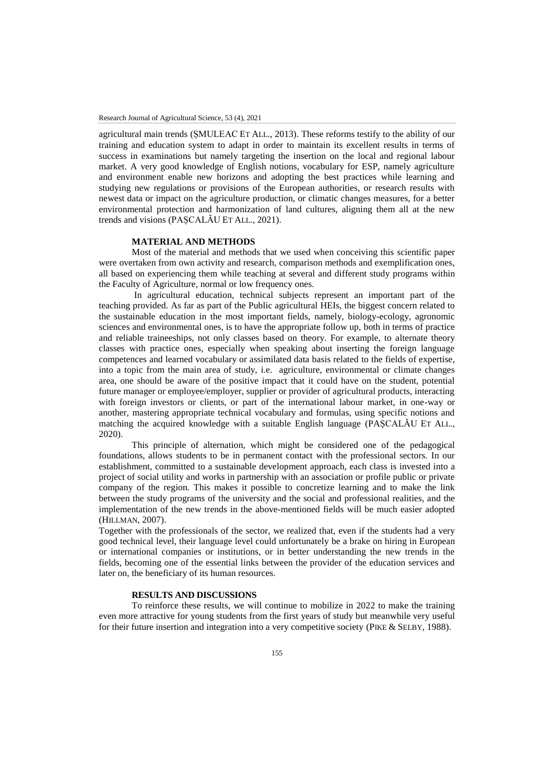agricultural main trends (ȘMULEAC ET ALL., 2013). These reforms testify to the ability of our training and education system to adapt in order to maintain its excellent results in terms of success in examinations but namely targeting the insertion on the local and regional labour market. A very good knowledge of English notions, vocabulary for ESP, namely agriculture and environment enable new horizons and adopting the best practices while learning and studying new regulations or provisions of the European authorities, or research results with newest data or impact on the agriculture production, or climatic changes measures, for a better environmental protection and harmonization of land cultures, aligning them all at the new trends and visions (PAȘCALĂU ET ALL., 2021).

## **MATERIAL AND METHODS**

Most of the material and methods that we used when conceiving this scientific paper were overtaken from own activity and research, comparison methods and exemplification ones, all based on experiencing them while teaching at several and different study programs within the Faculty of Agriculture, normal or low frequency ones.

In agricultural education, technical subjects represent an important part of the teaching provided. As far as part of the Public agricultural HEIs, the biggest concern related to the sustainable education in the most important fields, namely, biology-ecology, agronomic sciences and environmental ones, is to have the appropriate follow up, both in terms of practice and reliable traineeships, not only classes based on theory. For example, to alternate theory classes with practice ones, especially when speaking about inserting the foreign language competences and learned vocabulary or assimilated data basis related to the fields of expertise, into a topic from the main area of study, i.e. agriculture, environmental or climate changes area, one should be aware of the positive impact that it could have on the student, potential future manager or employee/employer, supplier or provider of agricultural products, interacting with foreign investors or clients, or part of the international labour market, in one-way or another, mastering appropriate technical vocabulary and formulas, using specific notions and matching the acquired knowledge with a suitable English language (PAȘCALĂU ET ALL., 2020).

This principle of alternation, which might be considered one of the pedagogical foundations, allows students to be in permanent contact with the professional sectors. In our establishment, committed to a sustainable development approach, each class is invested into a project of social utility and works in partnership with an association or profile public or private company of the region. This makes it possible to concretize learning and to make the link between the study programs of the university and the social and professional realities, and the implementation of the new trends in the above-mentioned fields will be much easier adopted (HILLMAN, 2007).

Together with the professionals of the sector, we realized that, even if the students had a very good technical level, their language level could unfortunately be a brake on hiring in European or international companies or institutions, or in better understanding the new trends in the fields, becoming one of the essential links between the provider of the education services and later on, the beneficiary of its human resources.

### **RESULTS AND DISCUSSIONS**

To reinforce these results, we will continue to mobilize in 2022 to make the training even more attractive for young students from the first years of study but meanwhile very useful for their future insertion and integration into a very competitive society (PIKE & SELBY, 1988).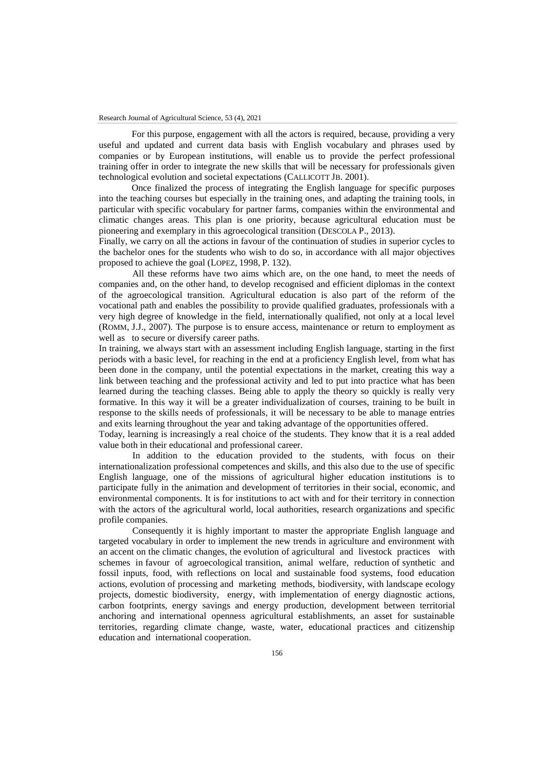For this purpose, engagement with all the actors is required, because, providing a very useful and updated and current data basis with English vocabulary and phrases used by companies or by European institutions, will enable us to provide the perfect professional training offer in order to integrate the new skills that will be necessary for professionals given technological evolution and societal expectations (CALLICOTT JB. 2001).

Once finalized the process of integrating the English language for specific purposes into the teaching courses but especially in the training ones, and adapting the training tools, in particular with specific vocabulary for partner farms, companies within the environmental and climatic changes areas. This plan is one priority, because agricultural education must be pioneering and exemplary in this agroecological transition (DESCOLA P., 2013).

Finally, we carry on all the actions in favour of the continuation of studies in superior cycles to the bachelor ones for the students who wish to do so, in accordance with all major objectives proposed to achieve the goal (LOPEZ, 1998, P. 132).

All these reforms have two aims which are, on the one hand, to meet the needs of companies and, on the other hand, to develop recognised and efficient diplomas in the context of the agroecological transition. Agricultural education is also part of the reform of the vocational path and enables the possibility to provide qualified graduates, professionals with a very high degree of knowledge in the field, internationally qualified, not only at a local level (ROMM, J.J., 2007). The purpose is to ensure access, maintenance or return to employment as well as to secure or diversify career paths.

In training, we always start with an assessment including English language, starting in the first periods with a basic level, for reaching in the end at a proficiency English level, from what has been done in the company, until the potential expectations in the market, creating this way a link between teaching and the professional activity and led to put into practice what has been learned during the teaching classes. Being able to apply the theory so quickly is really very formative. In this way it will be a greater individualization of courses, training to be built in response to the skills needs of professionals, it will be necessary to be able to manage entries and exits learning throughout the year and taking advantage of the opportunities offered.

Today, learning is increasingly a real choice of the students. They know that it is a real added value both in their educational and professional career.

In addition to the education provided to the students, with focus on their internationalization professional competences and skills, and this also due to the use of specific English language, one of the missions of agricultural higher education institutions is to participate fully in the animation and development of territories in their social, economic, and environmental components. It is for institutions to act with and for their territory in connection with the actors of the agricultural world, local authorities, research organizations and specific profile companies.

Consequently it is highly important to master the appropriate English language and targeted vocabulary in order to implement the new trends in agriculture and environment with an accent on the climatic changes, the evolution of agricultural and livestock practices with schemes in favour of agroecological transition, animal welfare, reduction of synthetic and fossil inputs, food, with reflections on local and sustainable food systems, food education actions, evolution of processing and marketing methods, biodiversity, with landscape ecology projects, domestic biodiversity, energy, with implementation of energy diagnostic actions, carbon footprints, energy savings and energy production, development between territorial anchoring and international openness agricultural establishments, an asset for sustainable territories, regarding climate change, waste, water, educational practices and citizenship education and international cooperation.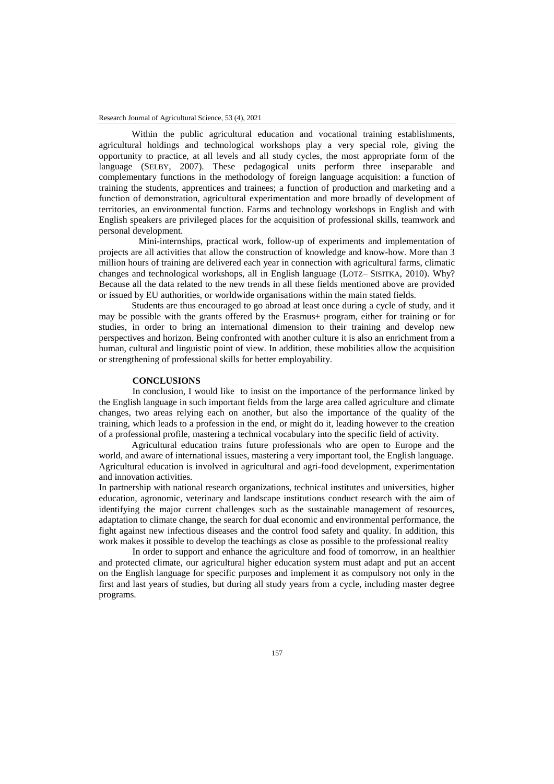Within the public agricultural education and vocational training establishments, agricultural holdings and technological workshops play a very special role, giving the opportunity to practice, at all levels and all study cycles, the most appropriate form of the language (SELBY, 2007). These pedagogical units perform three inseparable and complementary functions in the methodology of foreign language acquisition: a function of training the students, apprentices and trainees; a function of production and marketing and a function of demonstration, agricultural experimentation and more broadly of development of territories, an environmental function. Farms and technology workshops in English and with English speakers are privileged places for the acquisition of professional skills, teamwork and personal development.

 Mini-internships, practical work, follow-up of experiments and implementation of projects are all activities that allow the construction of knowledge and know-how. More than 3 million hours of training are delivered each year in connection with agricultural farms, climatic changes and technological workshops, all in English language (LOTZ– SISITKA, 2010). Why? Because all the data related to the new trends in all these fields mentioned above are provided or issued by EU authorities, or worldwide organisations within the main stated fields.

Students are thus encouraged to go abroad at least once during a cycle of study, and it may be possible with the grants offered by the Erasmus+ program, either for training or for studies, in order to bring an international dimension to their training and develop new perspectives and horizon. Being confronted with another culture it is also an enrichment from a human, cultural and linguistic point of view. In addition, these mobilities allow the acquisition or strengthening of professional skills for better employability.

## **CONCLUSIONS**

In conclusion, I would like to insist on the importance of the performance linked by the English language in such important fields from the large area called agriculture and climate changes, two areas relying each on another, but also the importance of the quality of the training, which leads to a profession in the end, or might do it, leading however to the creation of a professional profile, mastering a technical vocabulary into the specific field of activity.

Agricultural education trains future professionals who are open to Europe and the world, and aware of international issues, mastering a very important tool, the English language. Agricultural education is involved in agricultural and agri-food development, experimentation and innovation activities.

In partnership with national research organizations, technical institutes and universities, higher education, agronomic, veterinary and landscape institutions conduct research with the aim of identifying the major current challenges such as the sustainable management of resources, adaptation to climate change, the search for dual economic and environmental performance, the fight against new infectious diseases and the control food safety and quality. In addition, this work makes it possible to develop the teachings as close as possible to the professional reality

In order to support and enhance the agriculture and food of tomorrow, in an healthier and protected climate, our agricultural higher education system must adapt and put an accent on the English language for specific purposes and implement it as compulsory not only in the first and last years of studies, but during all study years from a cycle, including master degree programs.